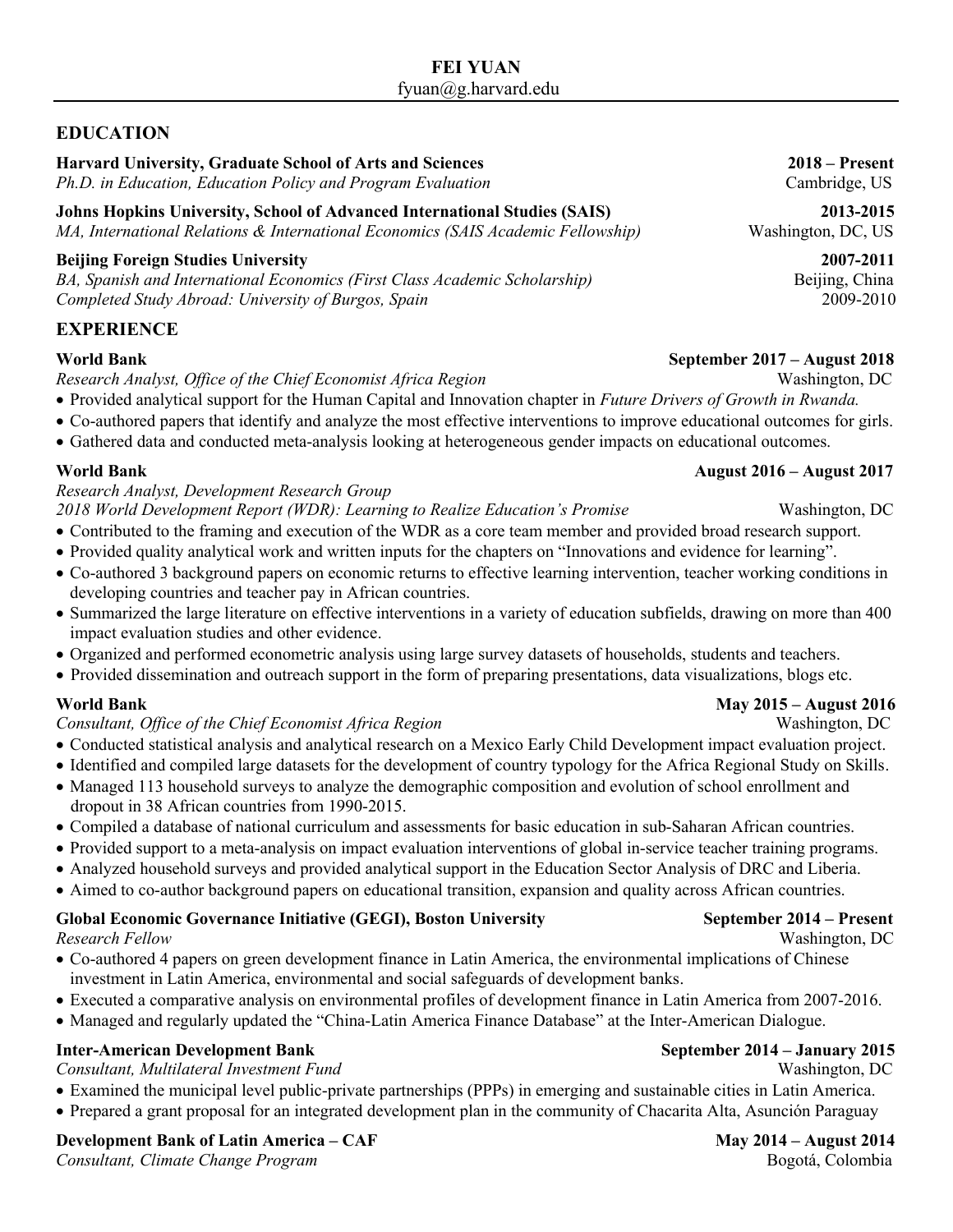## **EDUCATION**

**Harvard University, Graduate School of Arts and Sciences 2018 – Present**

*Ph.D. in Education, Education Policy and Program Evaluation* Cambridge, US

**Johns Hopkins University, School of Advanced International Studies (SAIS) 2013-2015**  *MA, International Relations & International Economics (SAIS Academic Fellowship)* Washington, DC, US

### **Beijing Foreign Studies University 2007-2011**

BA, Spanish and International Economics (First Class Academic Scholarship) Beijing, China *Completed Study Abroad: University of Burgos, Spain* 2009-2010

### **EXPERIENCE**

*Research Analyst, Office of the Chief Economist Africa Region* Washington, DC

- Provided analytical support for the Human Capital and Innovation chapter in *Future Drivers of Growth in Rwanda.*
- Co-authored papers that identify and analyze the most effective interventions to improve educational outcomes for girls.
- Gathered data and conducted meta-analysis looking at heterogeneous gender impacts on educational outcomes.

### **World Bank August 2016 – August 2017**

# *Research Analyst, Development Research Group*

- 2018 World Development Report (WDR): Learning to Realize Education's Promise Washington, DC
- Contributed to the framing and execution of the WDR as a core team member and provided broad research support.
- Provided quality analytical work and written inputs for the chapters on "Innovations and evidence for learning".
- Co-authored 3 background papers on economic returns to effective learning intervention, teacher working conditions in developing countries and teacher pay in African countries.
- Summarized the large literature on effective interventions in a variety of education subfields, drawing on more than 400 impact evaluation studies and other evidence.
- Organized and performed econometric analysis using large survey datasets of households, students and teachers.
- Provided dissemination and outreach support in the form of preparing presentations, data visualizations, blogs etc.

### *Consultant, Office of the Chief Economist Africa Region* Washington, DC

- Conducted statistical analysis and analytical research on a Mexico Early Child Development impact evaluation project.
- Identified and compiled large datasets for the development of country typology for the Africa Regional Study on Skills.
- Managed 113 household surveys to analyze the demographic composition and evolution of school enrollment and dropout in 38 African countries from 1990-2015.
- Compiled a database of national curriculum and assessments for basic education in sub-Saharan African countries.
- Provided support to a meta-analysis on impact evaluation interventions of global in-service teacher training programs.
- Analyzed household surveys and provided analytical support in the Education Sector Analysis of DRC and Liberia.
- Aimed to co-author background papers on educational transition, expansion and quality across African countries.

### **Global Economic Governance Initiative (GEGI), Boston University September 2014 – Present** *Research Fellow* Washington, DC

- Co-authored 4 papers on green development finance in Latin America, the environmental implications of Chinese investment in Latin America, environmental and social safeguards of development banks.
- Executed a comparative analysis on environmental profiles of development finance in Latin America from 2007-2016.
- Managed and regularly updated the "China-Latin America Finance Database" at the Inter-American Dialogue.

# **Inter-American Development Bank September 2014 – January 2015**

## *Consultant, Multilateral Investment Fund* Washington, DC

- Examined the municipal level public-private partnerships (PPPs) in emerging and sustainable cities in Latin America.
- Prepared a grant proposal for an integrated development plan in the community of Chacarita Alta, Asunción Paraguay

# **Development Bank of Latin America – CAF May 2014 – August 2014 – August 2014**

*Consultant, Climate Change Program* **Bogotá, Colombia Bogotá, Colombia Bogotá**, Colombia

## **World Bank May 2015 – August 2016**

### **World Bank September 2017 – August 2018**